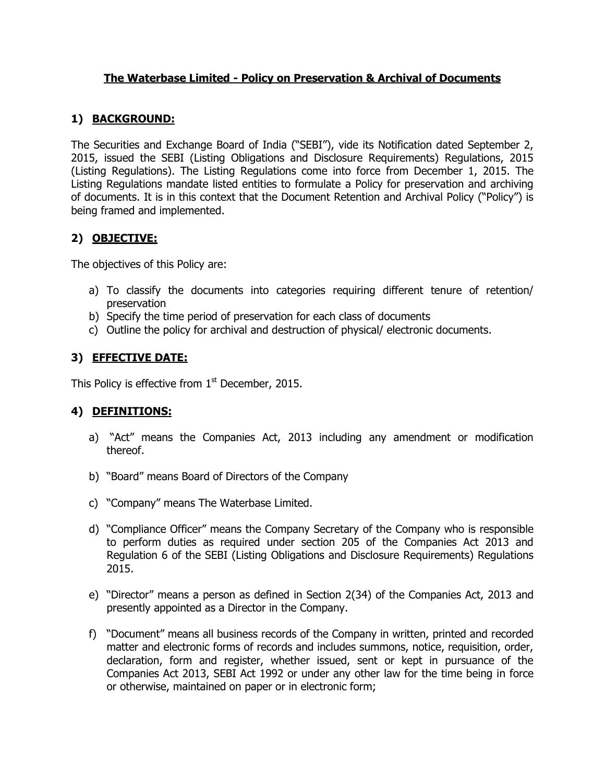### **The Waterbase Limited - Policy on Preservation & Archival of Documents**

## **1) BACKGROUND:**

The Securities and Exchange Board of India ("SEBI"), vide its Notification dated September 2, 2015, issued the SEBI (Listing Obligations and Disclosure Requirements) Regulations, 2015 (Listing Regulations). The Listing Regulations come into force from December 1, 2015. The Listing Regulations mandate listed entities to formulate a Policy for preservation and archiving of documents. It is in this context that the Document Retention and Archival Policy ("Policy") is being framed and implemented.

## **2) OBJECTIVE:**

The objectives of this Policy are:

- a) To classify the documents into categories requiring different tenure of retention/ preservation
- b) Specify the time period of preservation for each class of documents
- c) Outline the policy for archival and destruction of physical/ electronic documents.

## **3) EFFECTIVE DATE:**

This Policy is effective from  $1<sup>st</sup>$  December, 2015.

# **4) DEFINITIONS:**

- a) "Act" means the Companies Act, 2013 including any amendment or modification thereof.
- b) "Board" means Board of Directors of the Company
- c) "Company" means The Waterbase Limited.
- d) "Compliance Officer" means the Company Secretary of the Company who is responsible to perform duties as required under section 205 of the Companies Act 2013 and Regulation 6 of the SEBI (Listing Obligations and Disclosure Requirements) Regulations 2015.
- e) "Director" means a person as defined in Section 2(34) of the Companies Act, 2013 and presently appointed as a Director in the Company.
- f) "Document" means all business records of the Company in written, printed and recorded matter and electronic forms of records and includes summons, notice, requisition, order, declaration, form and register, whether issued, sent or kept in pursuance of the Companies Act 2013, SEBI Act 1992 or under any other law for the time being in force or otherwise, maintained on paper or in electronic form;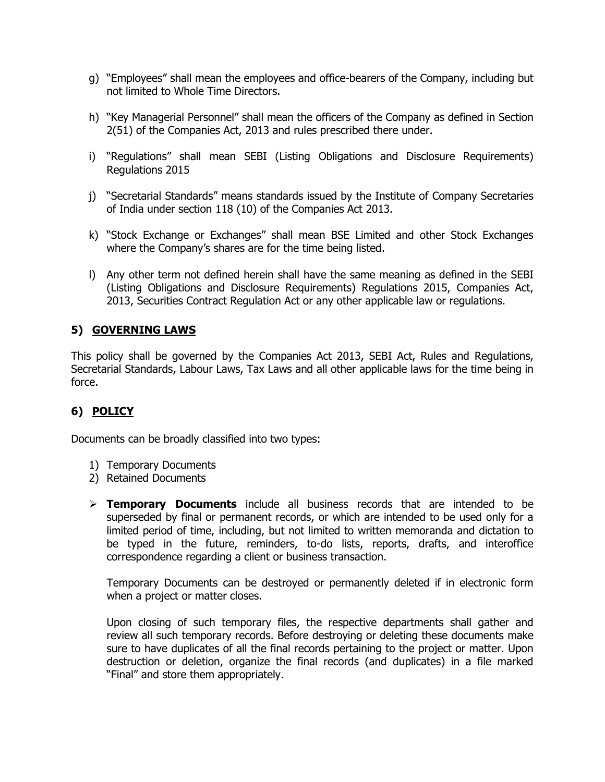- g) "Employees" shall mean the employees and office-bearers of the Company, including but not limited to Whole Time Directors.
- h) "Key Managerial Personnel" shall mean the officers of the Company as defined in Section 2(51) of the Companies Act, 2013 and rules prescribed there under.
- i) "Regulations" shall mean SEBI (Listing Obligations and Disclosure Requirements) Regulations 2015
- j) "Secretarial Standards" means standards issued by the Institute of Company Secretaries of India under section 118 (10) of the Companies Act 2013.
- k) "Stock Exchange or Exchanges" shall mean BSE Limited and other Stock Exchanges where the Company's shares are for the time being listed.
- l) Any other term not defined herein shall have the same meaning as defined in the SEBI (Listing Obligations and Disclosure Requirements) Regulations 2015, Companies Act, 2013, Securities Contract Regulation Act or any other applicable law or regulations.

# **5) GOVERNING LAWS**

This policy shall be governed by the Companies Act 2013, SEBI Act, Rules and Regulations, Secretarial Standards, Labour Laws, Tax Laws and all other applicable laws for the time being in force.

# **6) POLICY**

Documents can be broadly classified into two types:

- 1) Temporary Documents
- 2) Retained Documents
- **Temporary Documents** include all business records that are intended to be superseded by final or permanent records, or which are intended to be used only for a limited period of time, including, but not limited to written memoranda and dictation to be typed in the future, reminders, to-do lists, reports, drafts, and interoffice correspondence regarding a client or business transaction.

Temporary Documents can be destroyed or permanently deleted if in electronic form when a project or matter closes.

Upon closing of such temporary files, the respective departments shall gather and review all such temporary records. Before destroying or deleting these documents make sure to have duplicates of all the final records pertaining to the project or matter. Upon destruction or deletion, organize the final records (and duplicates) in a file marked "Final" and store them appropriately.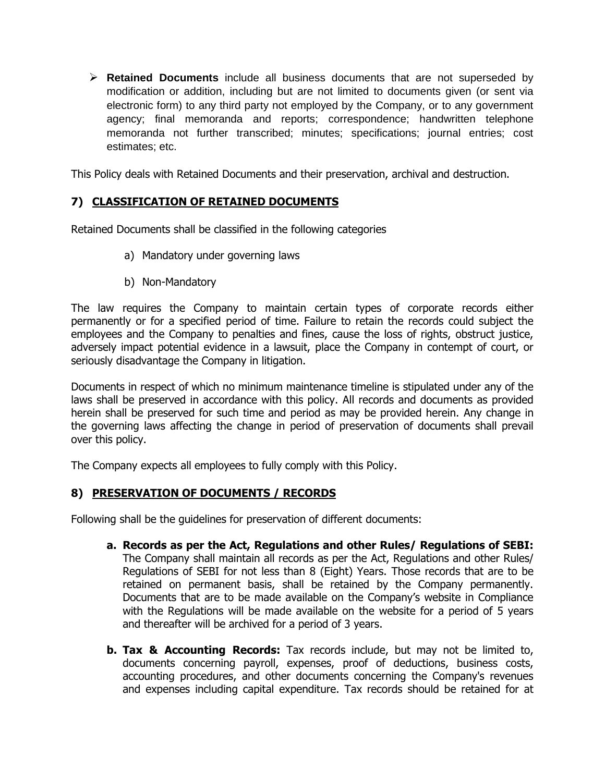**Retained Documents** include all business documents that are not superseded by modification or addition, including but are not limited to documents given (or sent via electronic form) to any third party not employed by the Company, or to any government agency; final memoranda and reports; correspondence; handwritten telephone memoranda not further transcribed; minutes; specifications; journal entries; cost estimates; etc.

This Policy deals with Retained Documents and their preservation, archival and destruction.

## **7) CLASSIFICATION OF RETAINED DOCUMENTS**

Retained Documents shall be classified in the following categories

- a) Mandatory under governing laws
- b) Non-Mandatory

The law requires the Company to maintain certain types of corporate records either permanently or for a specified period of time. Failure to retain the records could subject the employees and the Company to penalties and fines, cause the loss of rights, obstruct justice, adversely impact potential evidence in a lawsuit, place the Company in contempt of court, or seriously disadvantage the Company in litigation.

Documents in respect of which no minimum maintenance timeline is stipulated under any of the laws shall be preserved in accordance with this policy. All records and documents as provided herein shall be preserved for such time and period as may be provided herein. Any change in the governing laws affecting the change in period of preservation of documents shall prevail over this policy.

The Company expects all employees to fully comply with this Policy.

### **8) PRESERVATION OF DOCUMENTS / RECORDS**

Following shall be the guidelines for preservation of different documents:

- **a. Records as per the Act, Regulations and other Rules/ Regulations of SEBI:**  The Company shall maintain all records as per the Act, Regulations and other Rules/ Regulations of SEBI for not less than 8 (Eight) Years. Those records that are to be retained on permanent basis, shall be retained by the Company permanently. Documents that are to be made available on the Company's website in Compliance with the Regulations will be made available on the website for a period of 5 years and thereafter will be archived for a period of 3 years.
- **b. Tax & Accounting Records:** Tax records include, but may not be limited to, documents concerning payroll, expenses, proof of deductions, business costs, accounting procedures, and other documents concerning the Company's revenues and expenses including capital expenditure. Tax records should be retained for at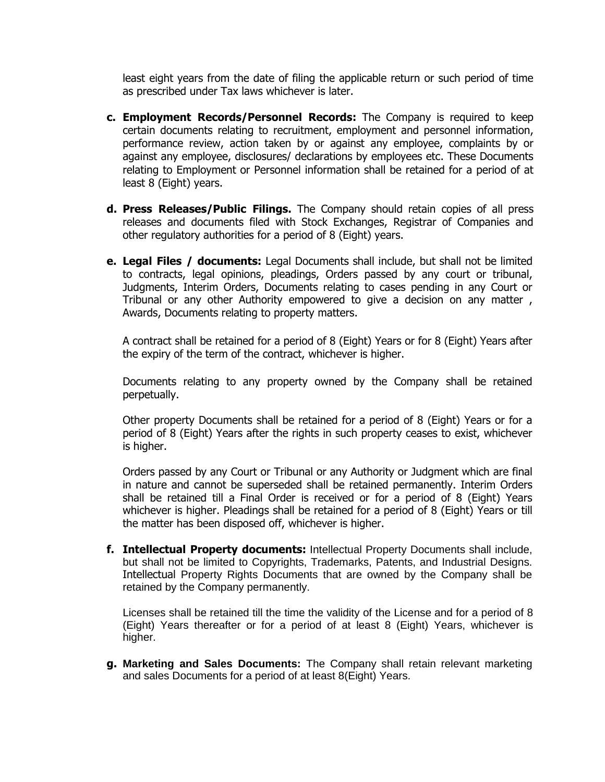least eight years from the date of filing the applicable return or such period of time as prescribed under Tax laws whichever is later.

- **c. Employment Records/Personnel Records:** The Company is required to keep certain documents relating to recruitment, employment and personnel information, performance review, action taken by or against any employee, complaints by or against any employee, disclosures/ declarations by employees etc. These Documents relating to Employment or Personnel information shall be retained for a period of at least 8 (Eight) years.
- **d. Press Releases/Public Filings.** The Company should retain copies of all press releases and documents filed with Stock Exchanges, Registrar of Companies and other regulatory authorities for a period of 8 (Eight) years.
- **e. Legal Files / documents:** Legal Documents shall include, but shall not be limited to contracts, legal opinions, pleadings, Orders passed by any court or tribunal, Judgments, Interim Orders, Documents relating to cases pending in any Court or Tribunal or any other Authority empowered to give a decision on any matter , Awards, Documents relating to property matters.

A contract shall be retained for a period of 8 (Eight) Years or for 8 (Eight) Years after the expiry of the term of the contract, whichever is higher.

Documents relating to any property owned by the Company shall be retained perpetually.

Other property Documents shall be retained for a period of 8 (Eight) Years or for a period of 8 (Eight) Years after the rights in such property ceases to exist, whichever is higher.

Orders passed by any Court or Tribunal or any Authority or Judgment which are final in nature and cannot be superseded shall be retained permanently. Interim Orders shall be retained till a Final Order is received or for a period of 8 (Eight) Years whichever is higher. Pleadings shall be retained for a period of 8 (Eight) Years or till the matter has been disposed off, whichever is higher.

**f. Intellectual Property documents:** Intellectual Property Documents shall include, but shall not be limited to Copyrights, Trademarks, Patents, and Industrial Designs. Intellectual Property Rights Documents that are owned by the Company shall be retained by the Company permanently.

Licenses shall be retained till the time the validity of the License and for a period of 8 (Eight) Years thereafter or for a period of at least 8 (Eight) Years, whichever is higher.

**g. Marketing and Sales Documents:** The Company shall retain relevant marketing and sales Documents for a period of at least 8(Eight) Years.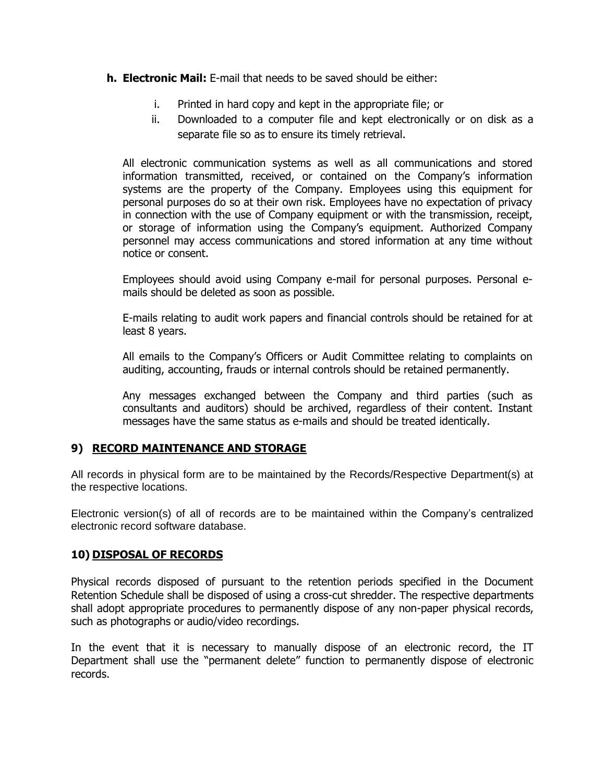- **h. Electronic Mail:** E-mail that needs to be saved should be either:
	- i. Printed in hard copy and kept in the appropriate file; or
	- ii. Downloaded to a computer file and kept electronically or on disk as a separate file so as to ensure its timely retrieval.

All electronic communication systems as well as all communications and stored information transmitted, received, or contained on the Company's information systems are the property of the Company. Employees using this equipment for personal purposes do so at their own risk. Employees have no expectation of privacy in connection with the use of Company equipment or with the transmission, receipt, or storage of information using the Company's equipment. Authorized Company personnel may access communications and stored information at any time without notice or consent.

Employees should avoid using Company e-mail for personal purposes. Personal emails should be deleted as soon as possible.

E-mails relating to audit work papers and financial controls should be retained for at least 8 years.

All emails to the Company's Officers or Audit Committee relating to complaints on auditing, accounting, frauds or internal controls should be retained permanently.

Any messages exchanged between the Company and third parties (such as consultants and auditors) should be archived, regardless of their content. Instant messages have the same status as e-mails and should be treated identically.

### **9) RECORD MAINTENANCE AND STORAGE**

All records in physical form are to be maintained by the Records/Respective Department(s) at the respective locations.

Electronic version(s) of all of records are to be maintained within the Company's centralized electronic record software database.

#### **10) DISPOSAL OF RECORDS**

Physical records disposed of pursuant to the retention periods specified in the Document Retention Schedule shall be disposed of using a cross-cut shredder. The respective departments shall adopt appropriate procedures to permanently dispose of any non-paper physical records, such as photographs or audio/video recordings.

In the event that it is necessary to manually dispose of an electronic record, the IT Department shall use the "permanent delete" function to permanently dispose of electronic records.